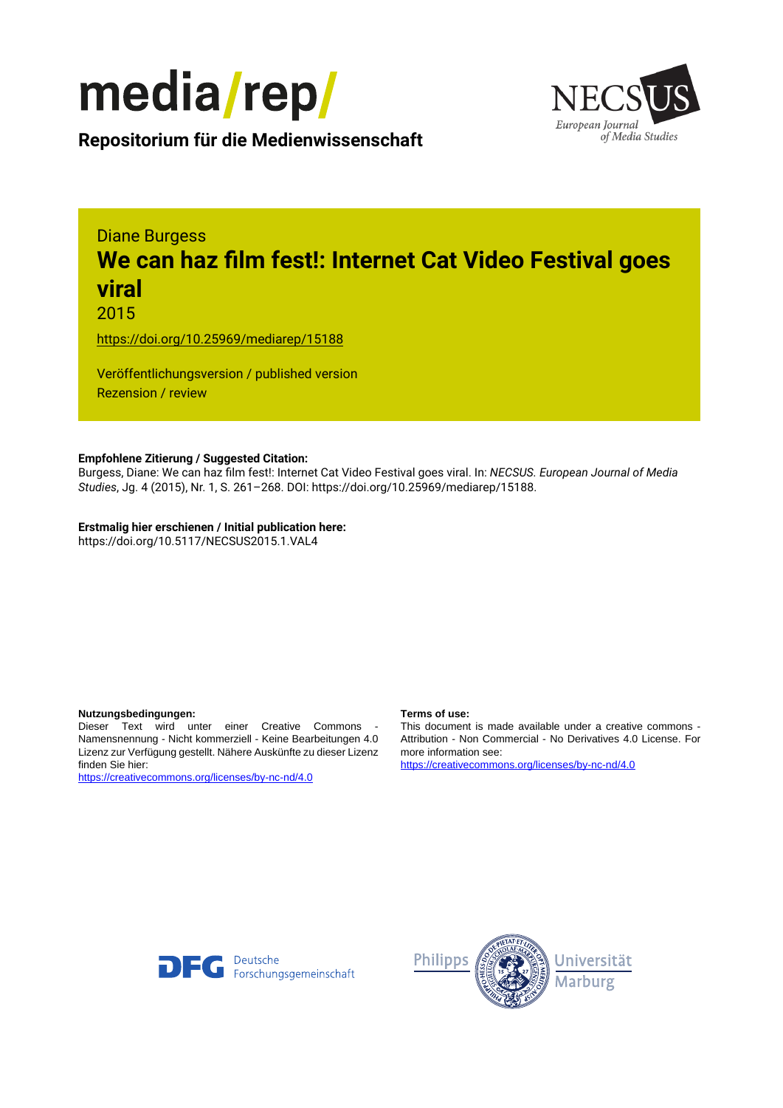



**Repositorium für die [Medienwissenschaft](https://mediarep.org)**

# Diane Burgess **We can haz film fest!: Internet Cat Video Festival goes viral**

2015

<https://doi.org/10.25969/mediarep/15188>

Veröffentlichungsversion / published version Rezension / review

#### **Empfohlene Zitierung / Suggested Citation:**

Burgess, Diane: We can haz film fest!: Internet Cat Video Festival goes viral. In: *NECSUS. European Journal of Media Studies*, Jg. 4 (2015), Nr. 1, S. 261–268. DOI: https://doi.org/10.25969/mediarep/15188.

**Erstmalig hier erschienen / Initial publication here:** https://doi.org/10.5117/NECSUS2015.1.VAL4

#### **Nutzungsbedingungen: Terms of use:**

Dieser Text wird unter einer Creative Commons - Namensnennung - Nicht kommerziell - Keine Bearbeitungen 4.0 Lizenz zur Verfügung gestellt. Nähere Auskünfte zu dieser Lizenz finden Sie hier:

<https://creativecommons.org/licenses/by-nc-nd/4.0>

This document is made available under a creative commons - Attribution - Non Commercial - No Derivatives 4.0 License. For more information see:

<https://creativecommons.org/licenses/by-nc-nd/4.0>



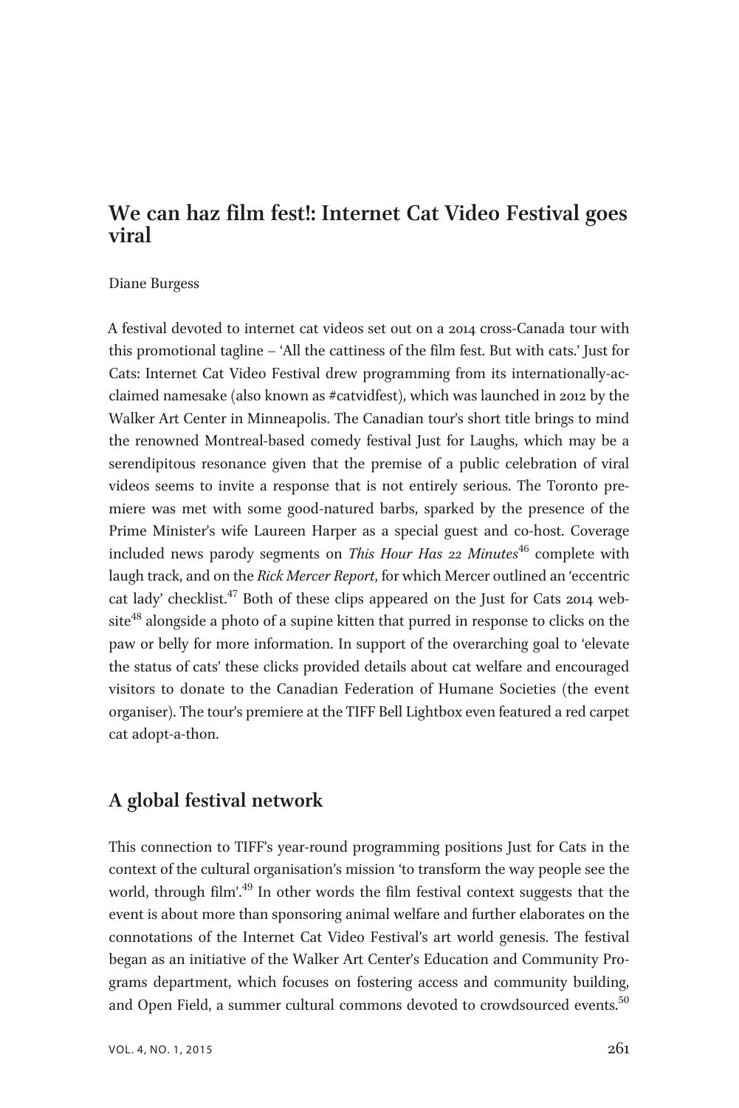# We can haz film fest!: Internet Cat Video Festival goes viral

#### Diane Burgess

A festival devoted to internet cat videos set out on a 2014 cross-Canada tour with this promotional tagline – 'All the cattiness of the film fest. But with cats.' Just for Cats: Internet Cat Video Festival drew programming from its internationally-acclaimed namesake (also known as #catvidfest), which was launched in 2012 by the Walker Art Center in Minneapolis. The Canadian tour's short title brings to mind the renowned Montreal-based comedy festival Just for Laughs, which may be a serendipitous resonance given that the premise of a public celebration of viral videos seems to invite a response that is not entirely serious. The Toronto premiere was met with some good-natured barbs, sparked by the presence of the Prime Minister's wife Laureen Harper as a special guest and co-host. Coverage included news parody segments on This Hour Has 22 Minutes<sup>46</sup> complete with laugh track, and on the Rick Mercer Report, for which Mercer outlined an 'eccentric cat lady' checklist.<sup>47</sup> Both of these clips appeared on the Just for Cats 2014 website<sup>48</sup> alongside a photo of a supine kitten that purred in response to clicks on the paw or belly for more information. In support of the overarching goal to 'elevate the status of cats' these clicks provided details about cat welfare and encouraged visitors to donate to the Canadian Federation of Humane Societies (the event organiser). The tour's premiere at the TIFF Bell Lightbox even featured a red carpet cat adopt-a-thon.

## A global festival network

This connection to TIFF's year-round programming positions Just for Cats in the context of the cultural organisation's mission 'to transform the way people see the world, through film'.<sup>49</sup> In other words the film festival context suggests that the event is about more than sponsoring animal welfare and further elaborates on the connotations of the Internet Cat Video Festival's art world genesis. The festival began as an initiative of the Walker Art Center's Education and Community Programs department, which focuses on fostering access and community building, and Open Field, a summer cultural commons devoted to crowdsourced events.<sup>50</sup>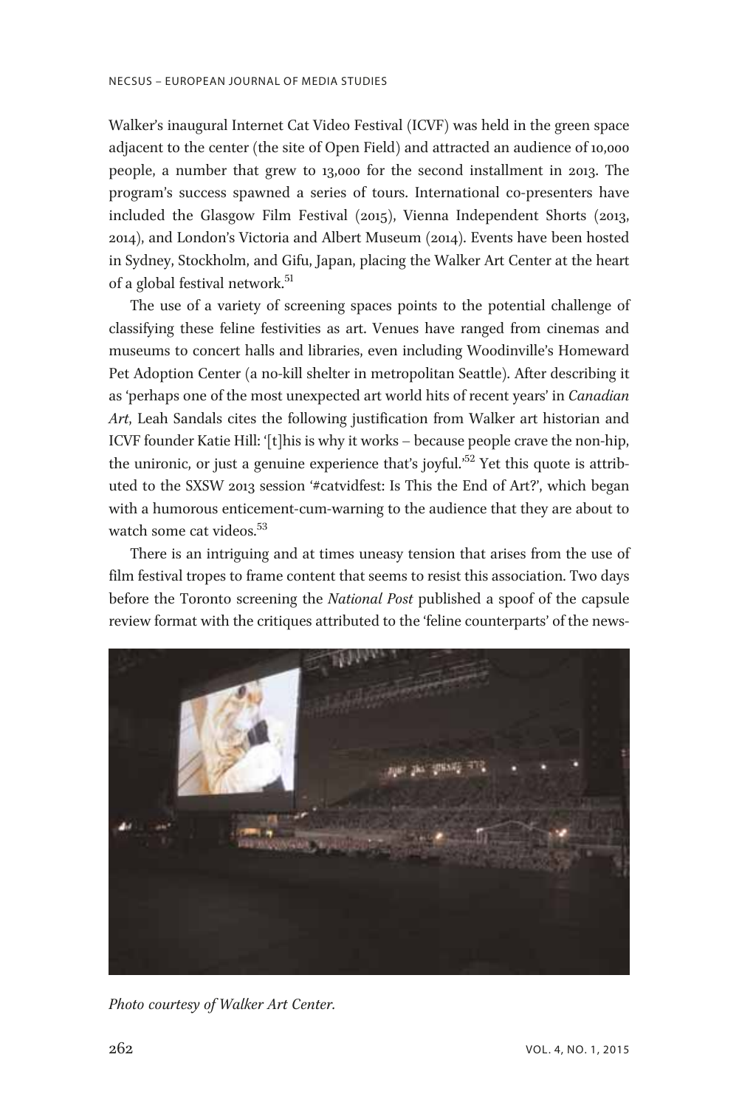Walker's inaugural Internet Cat Video Festival (ICVF) was held in the green space adjacent to the center (the site of Open Field) and attracted an audience of 10,000 people, a number that grew to 13,000 for the second installment in 2013. The program's success spawned a series of tours. International co-presenters have included the Glasgow Film Festival (2015), Vienna Independent Shorts (2013, 2014), and London's Victoria and Albert Museum (2014). Events have been hosted in Sydney, Stockholm, and Gifu, Japan, placing the Walker Art Center at the heart of a global festival network.<sup>51</sup>

The use of a variety of screening spaces points to the potential challenge of classifying these feline festivities as art. Venues have ranged from cinemas and museums to concert halls and libraries, even including Woodinville's Homeward Pet Adoption Center (a no-kill shelter in metropolitan Seattle). After describing it as 'perhaps one of the most unexpected art world hits of recent years' in Canadian Art, Leah Sandals cites the following justification from Walker art historian and ICVF founder Katie Hill: '[t]his is why it works – because people crave the non-hip, the unironic, or just a genuine experience that's joyful.<sup>52</sup> Yet this quote is attributed to the SXSW 2013 session '#catvidfest: Is This the End of Art?', which began with a humorous enticement-cum-warning to the audience that they are about to watch some cat videos.<sup>53</sup>

There is an intriguing and at times uneasy tension that arises from the use of film festival tropes to frame content that seems to resist this association. Two days before the Toronto screening the National Post published a spoof of the capsule review format with the critiques attributed to the 'feline counterparts' of the news-



Photo courtesy of Walker Art Center.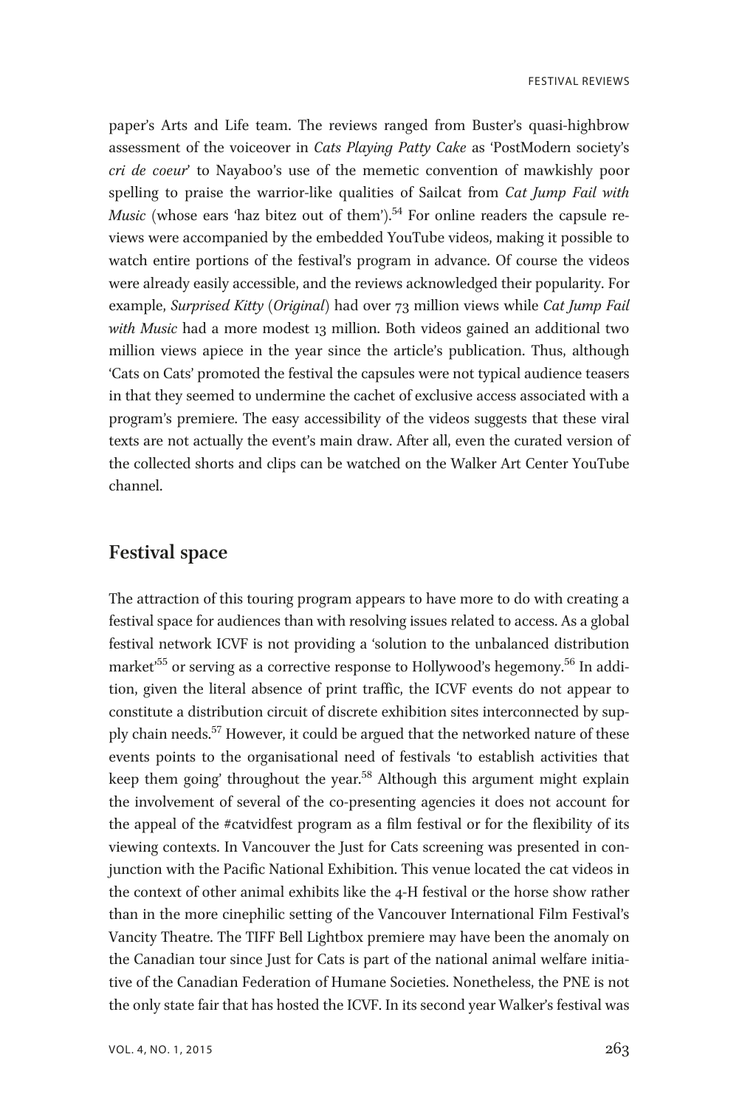**FESTIVAL REVIEWS** 

paper's Arts and Life team. The reviews ranged from Buster's quasi-highbrow assessment of the voiceover in Cats Playing Patty Cake as 'PostModern society's cri de coeur' to Nayaboo's use of the memetic convention of mawkishly poor spelling to praise the warrior-like qualities of Sailcat from Cat Jump Fail with *Music* (whose ears 'haz bitez out of them').<sup>54</sup> For online readers the capsule reviews were accompanied by the embedded YouTube videos, making it possible to watch entire portions of the festival's program in advance. Of course the videos were already easily accessible, and the reviews acknowledged their popularity. For example, Surprised Kitty (Original) had over 73 million views while Cat Jump Fail with Music had a more modest 13 million. Both videos gained an additional two million views apiece in the year since the article's publication. Thus, although 'Cats on Cats' promoted the festival the capsules were not typical audience teasers in that they seemed to undermine the cachet of exclusive access associated with a program's premiere. The easy accessibility of the videos suggests that these viral texts are not actually the event's main draw. After all, even the curated version of the collected shorts and clips can be watched on the Walker Art Center YouTube channel.

## Festival space

The attraction of this touring program appears to have more to do with creating a festival space for audiences than with resolving issues related to access. As a global festival network ICVF is not providing a 'solution to the unbalanced distribution market'<sup>55</sup> or serving as a corrective response to Hollywood's hegemony.<sup>56</sup> In addition, given the literal absence of print traffic, the ICVF events do not appear to constitute a distribution circuit of discrete exhibition sites interconnected by supply chain needs.<sup>57</sup> However, it could be argued that the networked nature of these events points to the organisational need of festivals 'to establish activities that keep them going' throughout the year.<sup>58</sup> Although this argument might explain the involvement of several of the co-presenting agencies it does not account for the appeal of the #catvidfest program as a film festival or for the flexibility of its viewing contexts. In Vancouver the Just for Cats screening was presented in conjunction with the Pacific National Exhibition. This venue located the cat videos in the context of other animal exhibits like the 4-H festival or the horse show rather than in the more cinephilic setting of the Vancouver International Film Festival's Vancity Theatre. The TIFF Bell Lightbox premiere may have been the anomaly on the Canadian tour since Just for Cats is part of the national animal welfare initiative of the Canadian Federation of Humane Societies. Nonetheless, the PNE is not the only state fair that has hosted the ICVF. In its second year Walker's festival was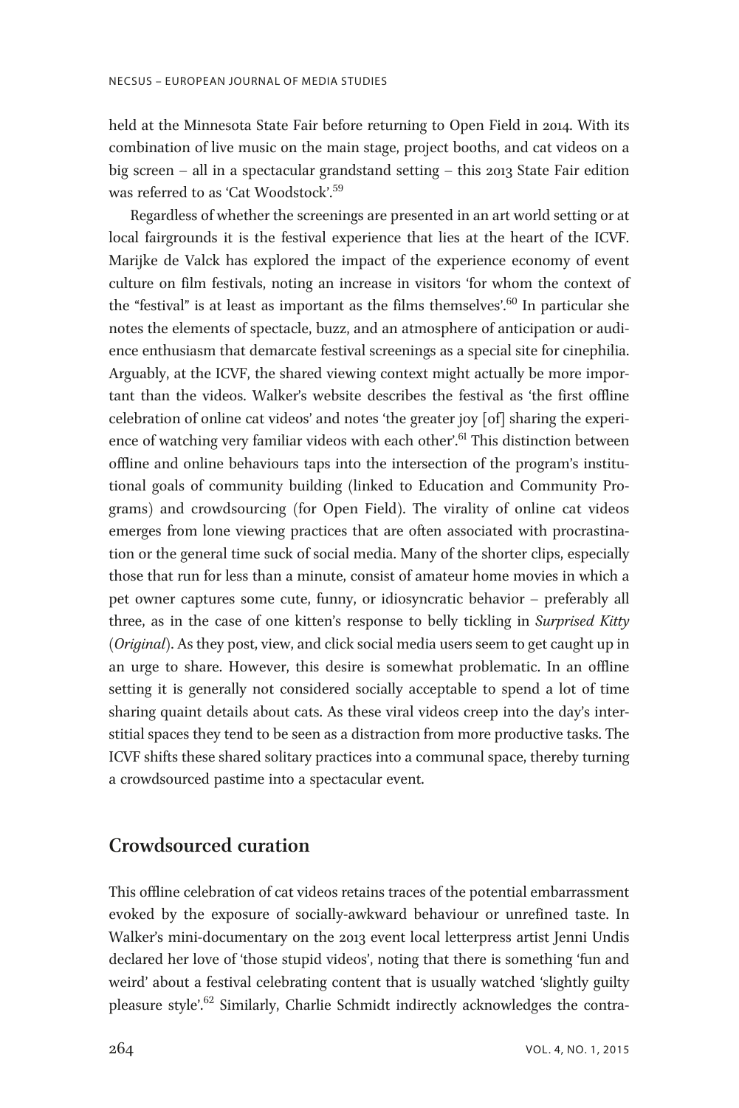held at the Minnesota State Fair before returning to Open Field in 2014. With its combination of live music on the main stage, project booths, and cat videos on a big screen – all in a spectacular grandstand setting – this 2013 State Fair edition was referred to as 'Cat Woodstock'. 59

Regardless of whether the screenings are presented in an art world setting or at local fairgrounds it is the festival experience that lies at the heart of the ICVF. Marijke de Valck has explored the impact of the experience economy of event culture on film festivals, noting an increase in visitors 'for whom the context of the "festival" is at least as important as the films themselves'. <sup>60</sup> In particular she notes the elements of spectacle, buzz, and an atmosphere of anticipation or audience enthusiasm that demarcate festival screenings as a special site for cinephilia. Arguably, at the ICVF, the shared viewing context might actually be more important than the videos. Walker's website describes the festival as 'the first offline celebration of online cat videos' and notes 'the greater joy [of] sharing the experience of watching very familiar videos with each other'.<sup>61</sup> This distinction between offline and online behaviours taps into the intersection of the program's institutional goals of community building (linked to Education and Community Programs) and crowdsourcing (for Open Field). The virality of online cat videos emerges from lone viewing practices that are often associated with procrastination or the general time suck of social media. Many of the shorter clips, especially those that run for less than a minute, consist of amateur home movies in which a pet owner captures some cute, funny, or idiosyncratic behavior – preferably all three, as in the case of one kitten's response to belly tickling in Surprised Kitty (Original). As they post, view, and click social media users seem to get caught up in an urge to share. However, this desire is somewhat problematic. In an offline setting it is generally not considered socially acceptable to spend a lot of time sharing quaint details about cats. As these viral videos creep into the day's interstitial spaces they tend to be seen as a distraction from more productive tasks. The ICVF shifts these shared solitary practices into a communal space, thereby turning a crowdsourced pastime into a spectacular event.

# Crowdsourced curation

This offline celebration of cat videos retains traces of the potential embarrassment evoked by the exposure of socially-awkward behaviour or unrefined taste. In Walker's mini-documentary on the 2013 event local letterpress artist Jenni Undis declared her love of 'those stupid videos', noting that there is something 'fun and weird' about a festival celebrating content that is usually watched 'slightly guilty pleasure style'.<sup>62</sup> Similarly, Charlie Schmidt indirectly acknowledges the contra-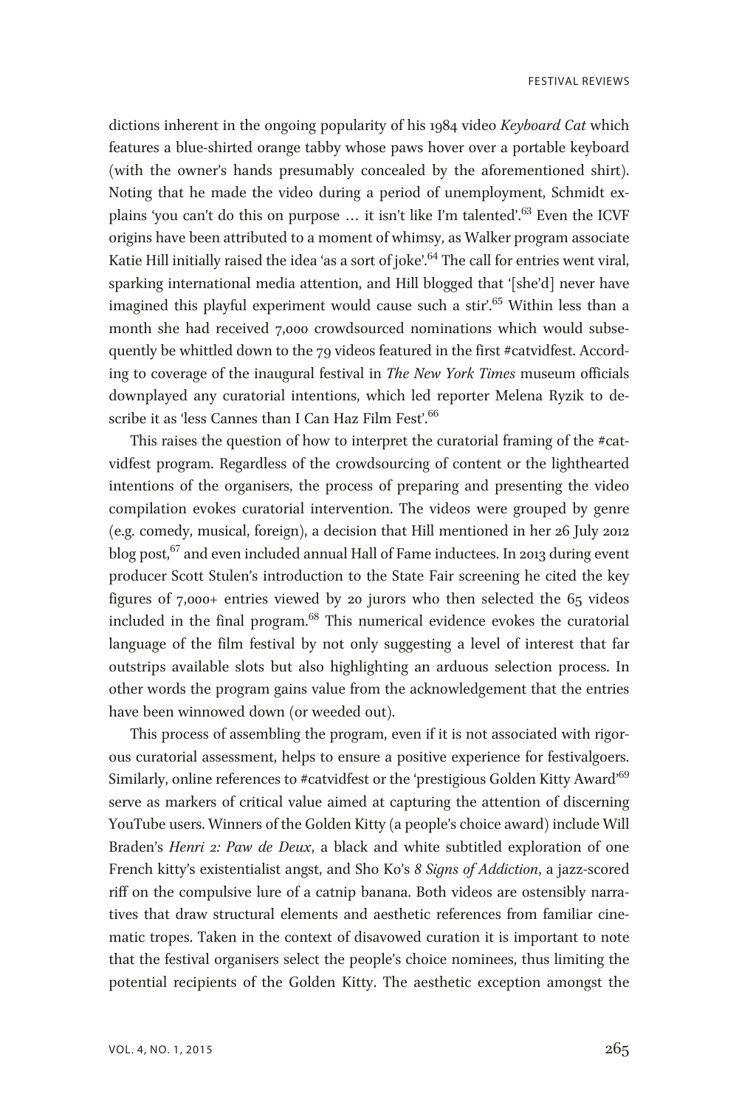**FESTIVAL REVIEWS** 

dictions inherent in the ongoing popularity of his 1984 video Keyboard Cat which features a blue-shirted orange tabby whose paws hover over a portable keyboard (with the owner's hands presumably concealed by the aforementioned shirt). Noting that he made the video during a period of unemployment, Schmidt explains 'you can't do this on purpose ... it isn't like I'm talented'.<sup>63</sup> Even the ICVF origins have been attributed to a moment of whimsy, as Walker program associate Katie Hill initially raised the idea 'as a sort of joke'. <sup>64</sup> The call for entries went viral, sparking international media attention, and Hill blogged that '[she'd] never have imagined this playful experiment would cause such a stir'. <sup>65</sup> Within less than a month she had received 7,000 crowdsourced nominations which would subsequently be whittled down to the 79 videos featured in the first #catvidfest. According to coverage of the inaugural festival in The New York Times museum officials downplayed any curatorial intentions, which led reporter Melena Ryzik to describe it as 'less Cannes than I Can Haz Film Fest'.<sup>66</sup>

This raises the question of how to interpret the curatorial framing of the #catvidfest program. Regardless of the crowdsourcing of content or the lighthearted intentions of the organisers, the process of preparing and presenting the video compilation evokes curatorial intervention. The videos were grouped by genre (e.g. comedy, musical, foreign), a decision that Hill mentioned in her 26 July 2012 blog post,<sup>67</sup> and even included annual Hall of Fame inductees. In 2013 during event producer Scott Stulen's introduction to the State Fair screening he cited the key figures of 7,000+ entries viewed by 20 jurors who then selected the 65 videos included in the final program.<sup>68</sup> This numerical evidence evokes the curatorial language of the film festival by not only suggesting a level of interest that far outstrips available slots but also highlighting an arduous selection process. In other words the program gains value from the acknowledgement that the entries have been winnowed down (or weeded out).

This process of assembling the program, even if it is not associated with rigorous curatorial assessment, helps to ensure a positive experience for festivalgoers. Similarly, online references to #catvidfest or the 'prestigious Golden Kitty Award' $^{69}$ serve as markers of critical value aimed at capturing the attention of discerning YouTube users. Winners of the Golden Kitty (a people's choice award) include Will Braden's Henri 2: Paw de Deux, a black and white subtitled exploration of one French kitty's existentialist angst, and Sho Ko's 8 Signs of Addiction, a jazz-scored riff on the compulsive lure of a catnip banana. Both videos are ostensibly narratives that draw structural elements and aesthetic references from familiar cinematic tropes. Taken in the context of disavowed curation it is important to note that the festival organisers select the people's choice nominees, thus limiting the potential recipients of the Golden Kitty. The aesthetic exception amongst the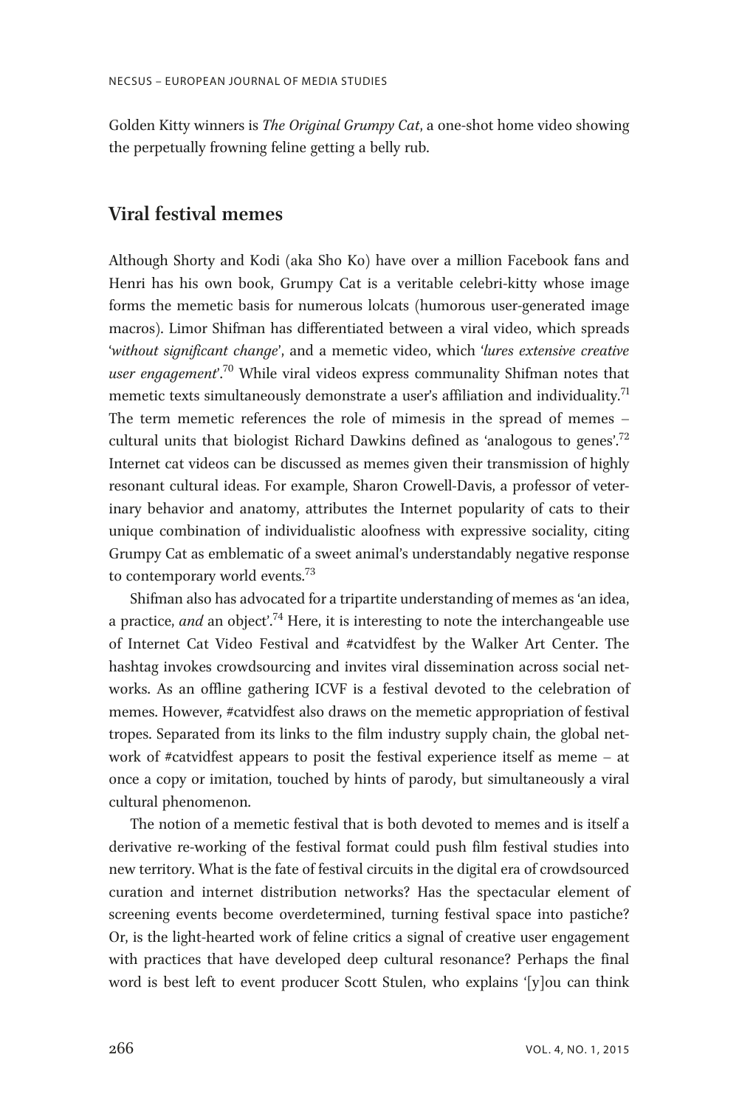Golden Kitty winners is The Original Grumpy Cat, a one-shot home video showing the perpetually frowning feline getting a belly rub.

## Viral festival memes

Although Shorty and Kodi (aka Sho Ko) have over a million Facebook fans and Henri has his own book, Grumpy Cat is a veritable celebri-kitty whose image forms the memetic basis for numerous lolcats (humorous user-generated image macros). Limor Shifman has differentiated between a viral video, which spreads 'without significant change', and a memetic video, which 'lures extensive creative user engagement'.<sup>70</sup> While viral videos express communality Shifman notes that memetic texts simultaneously demonstrate a user's affiliation and individuality.<sup>71</sup> The term memetic references the role of mimesis in the spread of memes – cultural units that biologist Richard Dawkins defined as 'analogous to genes'.<sup>72</sup> Internet cat videos can be discussed as memes given their transmission of highly resonant cultural ideas. For example, Sharon Crowell-Davis, a professor of veterinary behavior and anatomy, attributes the Internet popularity of cats to their unique combination of individualistic aloofness with expressive sociality, citing Grumpy Cat as emblematic of a sweet animal's understandably negative response to contemporary world events.<sup>73</sup>

Shifman also has advocated for a tripartite understanding of memes as 'an idea, a practice, and an object'.<sup>74</sup> Here, it is interesting to note the interchangeable use of Internet Cat Video Festival and #catvidfest by the Walker Art Center. The hashtag invokes crowdsourcing and invites viral dissemination across social networks. As an offline gathering ICVF is a festival devoted to the celebration of memes. However, #catvidfest also draws on the memetic appropriation of festival tropes. Separated from its links to the film industry supply chain, the global network of #catvidfest appears to posit the festival experience itself as meme – at once a copy or imitation, touched by hints of parody, but simultaneously a viral cultural phenomenon.

The notion of a memetic festival that is both devoted to memes and is itself a derivative re-working of the festival format could push film festival studies into new territory. What is the fate of festival circuits in the digital era of crowdsourced curation and internet distribution networks? Has the spectacular element of screening events become overdetermined, turning festival space into pastiche? Or, is the light-hearted work of feline critics a signal of creative user engagement with practices that have developed deep cultural resonance? Perhaps the final word is best left to event producer Scott Stulen, who explains '[y]ou can think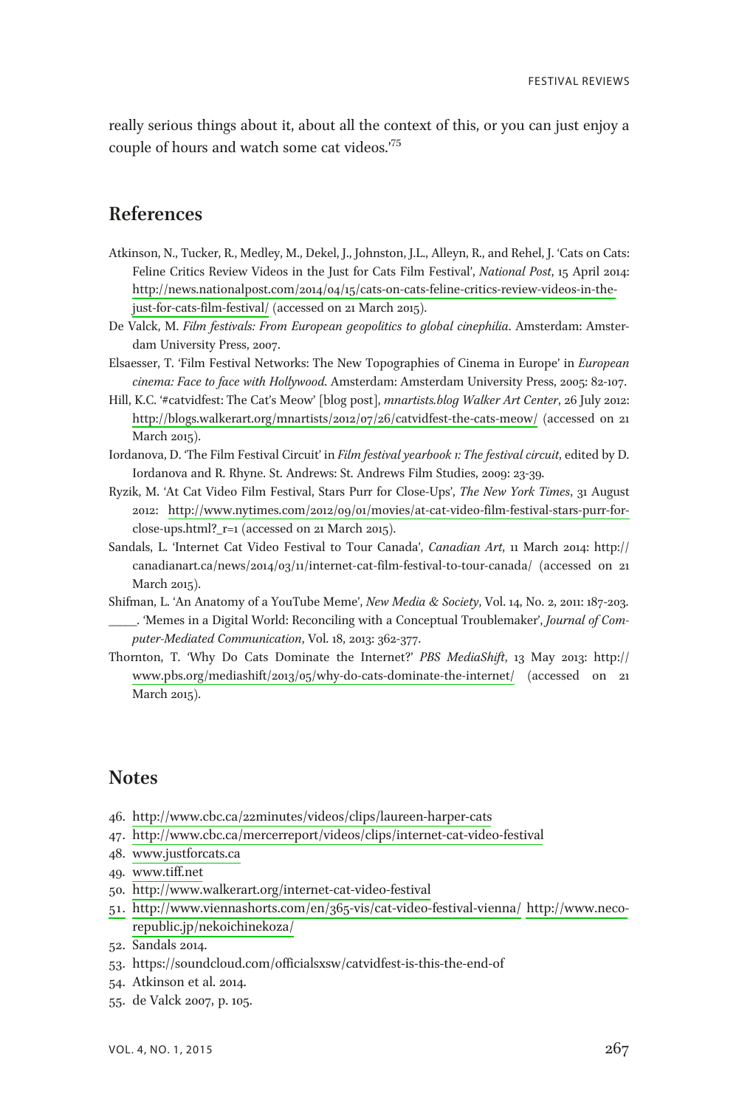really serious things about it, about all the context of this, or you can just enjoy a couple of hours and watch some cat videos.' 75

## References

- Atkinson, N., Tucker, R., Medley, M., Dekel, J., Johnston, J.L., Alleyn, R., and Rehel, J. 'Cats on Cats: Feline Critics Review Videos in the Just for Cats Film Festival', National Post, 15 April 2014: [http://news.nationalpost.com/2014/04/15/cats-on-cats-feline-critics-review-videos-in-the](http://news.nationalpost.com/2014/04/15/cats-on-cats-feline-critics-review-videos-in-the-just-for-cats-film-festival/)[just-for-cats-film-festival/](http://news.nationalpost.com/2014/04/15/cats-on-cats-feline-critics-review-videos-in-the-just-for-cats-film-festival/) (accessed on 21 March 2015).
- De Valck, M. Film festivals: From European geopolitics to global cinephilia. Amsterdam: Amsterdam University Press, 2007.
- Elsaesser, T. 'Film Festival Networks: The New Topographies of Cinema in Europe' in European cinema: Face to face with Hollywood. Amsterdam: Amsterdam University Press, 2005: 82-107.
- Hill, K.C. '#catvidfest: The Cat's Meow' [blog post], mnartists.blog Walker Art Center, 26 July 2012: <http://blogs.walkerart.org/mnartists/2012/07/26/catvidfest-the-cats-meow/> (accessed on 21 March 2015).
- Iordanova, D. 'The Film Festival Circuit' in Film festival yearbook 1: The festival circuit, edited by D. Iordanova and R. Rhyne. St. Andrews: St. Andrews Film Studies, 2009: 23-39.
- Ryzik, M. 'At Cat Video Film Festival, Stars Purr for Close-Ups', The New York Times, 31 August 2012: [http://www.nytimes.com/2012/09/01/movies/at-cat-video-film-festival-stars-purr-for](http://www.nytimes.com/2012/09/01/movies/at-cat-video-film-festival-stars-purr-for-)close-ups.html?\_r=1 (accessed on 21 March 2015).
- Sandals, L. 'Internet Cat Video Festival to Tour Canada', Canadian Art, 11 March 2014: http:// canadianart.ca/news/2014/03/11/internet-cat-film-festival-to-tour-canada/ (accessed on 21 March 2015).
- Shifman, L. 'An Anatomy of a YouTube Meme', New Media & Society, Vol. 14, No. 2, 2011: 187-203. . 'Memes in a Digital World: Reconciling with a Conceptual Troublemaker', Journal of Computer-Mediated Communication, Vol. 18, 2013: 362-377.
- Thornton, T. 'Why Do Cats Dominate the Internet?' PBS MediaShift, 13 May 2013: http:// [www.pbs.org/mediashift/2013/05/why-do-cats-dominate-the-internet/](http://www.pbs.org/mediashift/2013/05/why-do-cats-dominate-the-internet/) (accessed on 21 March 2015).

#### **Notes**

- 46.<http://www.cbc.ca/22minutes/videos/clips/laureen-harper-cats>
- 47.<http://www.cbc.ca/mercerreport/videos/clips/internet-cat-video-festival>
- 48. [www.justforcats.ca](http://www.justforcats.ca)
- 49. [www.tiff.net](http://www.tiff.net)
- 50. [http://www.walkerart.org/internet-cat-video-festival](http://www.walkerart.org/internet-cat-video-festival51.http://www.viennashorts.com/en/365-vis/cat-video-festival-vienna/)
- [51.](http://www.walkerart.org/internet-cat-video-festival51.http://www.viennashorts.com/en/365-vis/cat-video-festival-vienna/)<http://www.viennashorts.com/en/365-vis/cat-video-festival-vienna/> [http://www.neco](http://www.neco-republic.jp/nekoichinekoza/)[republic.jp/nekoichinekoza/](http://www.neco-republic.jp/nekoichinekoza/)
- 52. Sandals 2014.
- 53. https://soundcloud.com/officialsxsw/catvidfest-is-this-the-end-of
- 54. Atkinson et al. 2014.
- 55. de Valck 2007, p. 105.